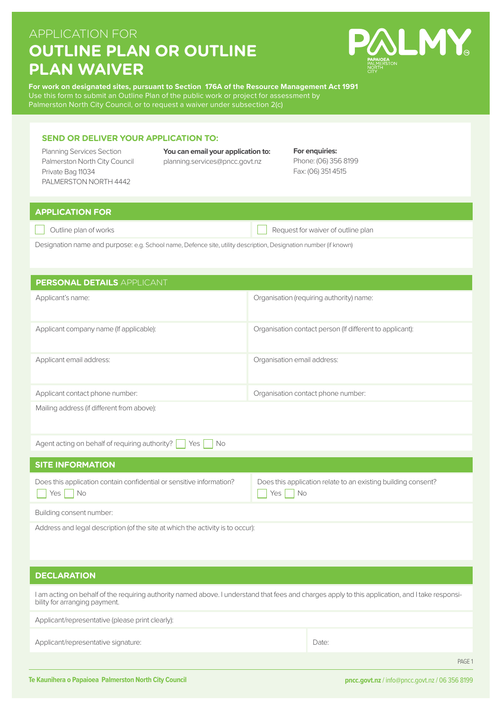# APPLICATION FOR **OUTLINE PLAN OR OUTLINE PLAN WAIVER**



**For work on designated sites, pursuant to Section 176A of the Resource Management Act 1991** Use this form to submit an Outline Plan of the public work or project for assessment by

#### **SEND OR DELIVER YOUR APPLICATION TO:**

Planning Services Section **You can email your application to:**  Palmerston North City Council planning.services@pncc.govt.nz Private Bag 11034 PALMERSTON NORTH 4442

**For enquiries:**  Phone: (06) 356 8199 Fax: (06) 351 4515

## **APPLICATION FOR**

Outline plan of works **Request for waiver of outline plan** 

Designation name and purpose: e.g. School name, Defence site, utility description, Designation number (if known)

| PERSONAL DETAILS APPLICANT                 |                                                          |  |
|--------------------------------------------|----------------------------------------------------------|--|
| Applicant's name:                          | Organisation (requiring authority) name:                 |  |
| Applicant company name (If applicable):    | Organisation contact person (If different to applicant): |  |
| Applicant email address:                   | Organisation email address:                              |  |
| Applicant contact phone number:            | Organisation contact phone number:                       |  |
| Mailing address (if different from above): |                                                          |  |

| Agent acting on behalf of requiring authority?   Yes   No |  |  |  |  |
|-----------------------------------------------------------|--|--|--|--|
|-----------------------------------------------------------|--|--|--|--|

| <b>SITE INFORMATION</b>                                                                |                                                                           |  |  |  |
|----------------------------------------------------------------------------------------|---------------------------------------------------------------------------|--|--|--|
| Does this application contain confidential or sensitive information?<br>$ $ Yes $ $ No | Does this application relate to an existing building consent?<br>Yes   No |  |  |  |
| Building consent number:                                                               |                                                                           |  |  |  |

Address and legal description (of the site at which the activity is to occur):

#### **DECLARATION**

I am acting on behalf of the requiring authority named above. I understand that fees and charges apply to this application, and I take responsibility for arranging payment.

Applicant/representative (please print clearly):

Applicant/representative signature:  $\Box$ 

PAGE 1